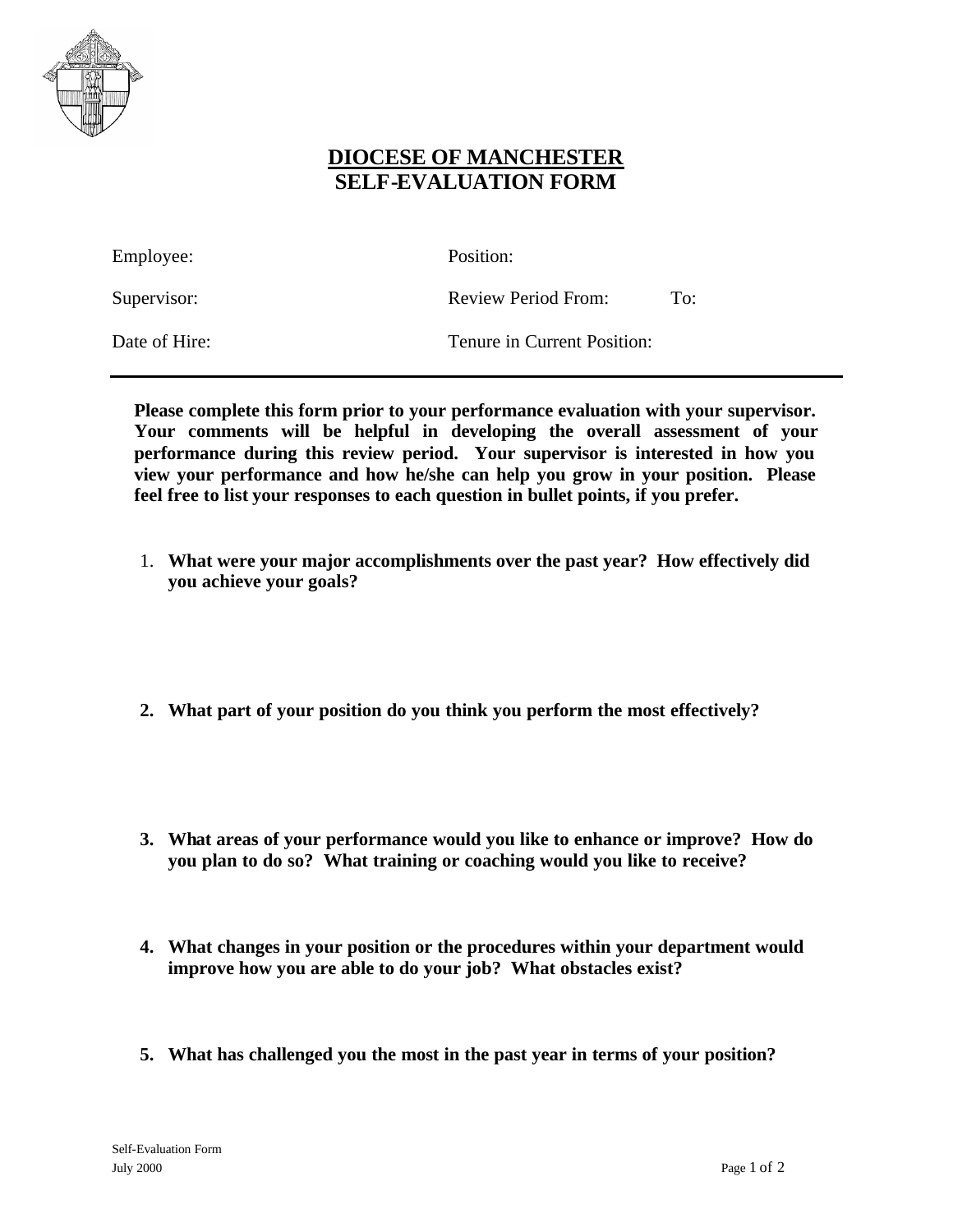

## **DIOCESE OF MANCHESTER SELF-EVALUATION FORM**

Employee: Position:

Supervisor: Review Period From: To:

Date of Hire: Tenure in Current Position:

**Please complete this form prior to your performance evaluation with your supervisor. Your comments will be helpful in developing the overall assessment of your performance during this review period. Your supervisor is interested in how you view your performance and how he/she can help you grow in your position. Please feel free to list your responses to each question in bullet points, if you prefer.**

- 1. **What were your major accomplishments over the past year? How effectively did you achieve your goals?**
- **2. What part of your position do you think you perform the most effectively?**
- **3. What areas of your performance would you like to enhance or improve? How do you plan to do so? What training or coaching would you like to receive?**
- **4. What changes in your position or the procedures within your department would improve how you are able to do your job? What obstacles exist?**
- **5. What has challenged you the most in the past year in terms of your position?**